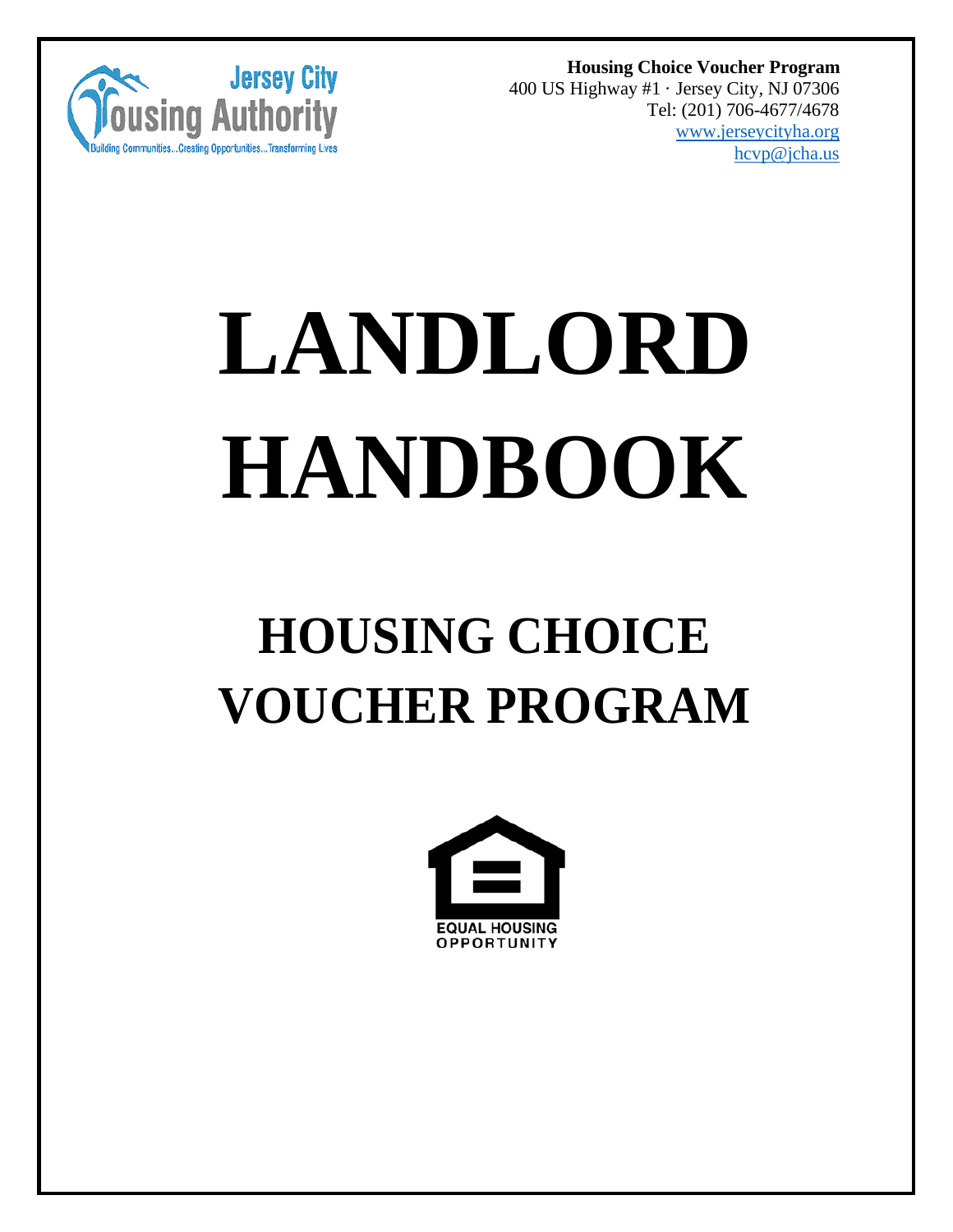

**Housing Choice Voucher Program** 400 US Highway #1 · Jersey City, NJ 07306 Tel: (201) 706-4677/4678 [www.jerseycityha.org](http://www.jerseycityha.org/) [hcvp@jcha.us](mailto:hcvp@jcha.us)

# **LANDLORD HANDBOOK**

# **HOUSING CHOICE VOUCHER PROGRAM**

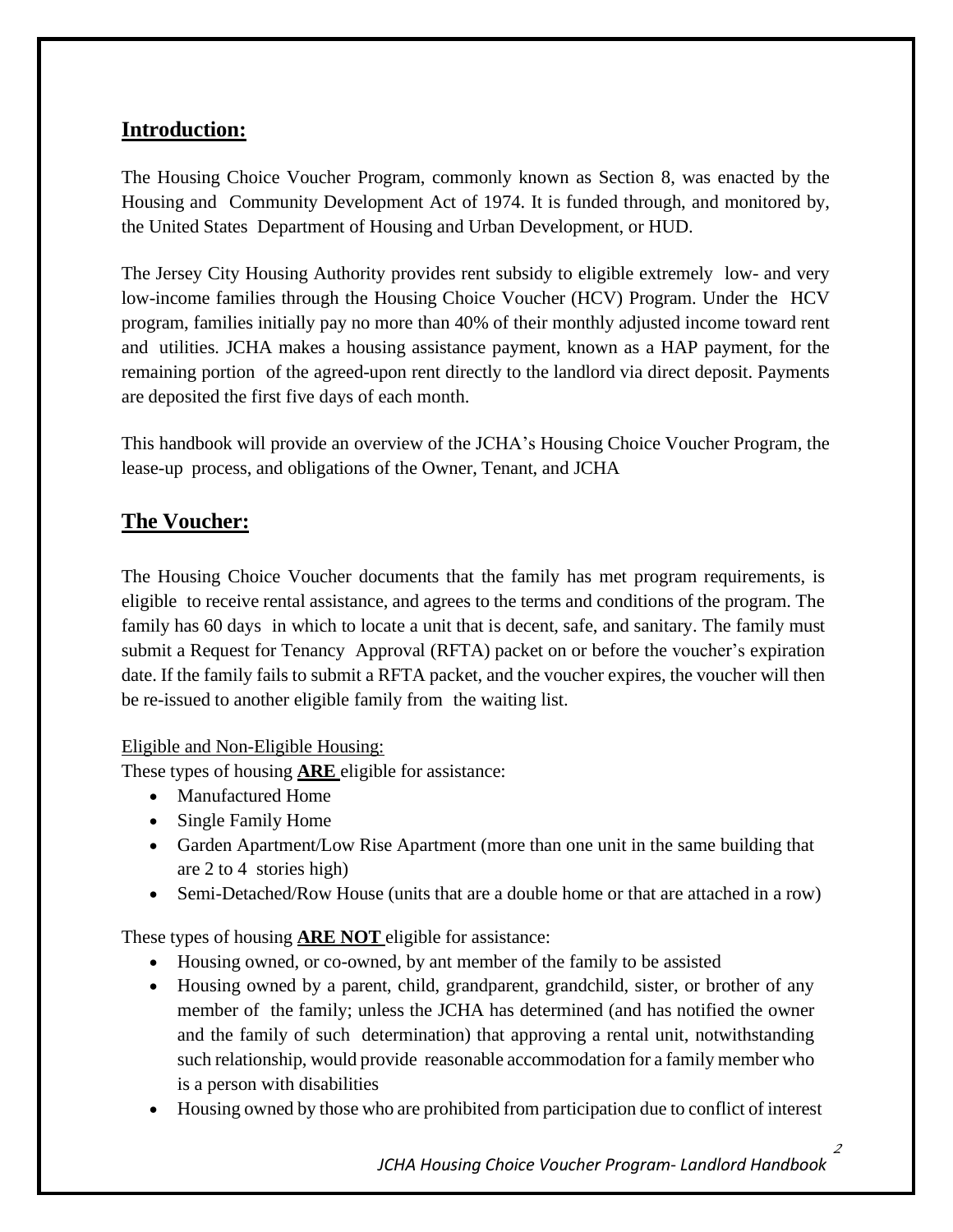#### **Introduction:**

The Housing Choice Voucher Program, commonly known as Section 8, was enacted by the Housing and Community Development Act of 1974. It is funded through, and monitored by, the United States Department of Housing and Urban Development, or HUD.

The Jersey City Housing Authority provides rent subsidy to eligible extremely low- and very low-income families through the Housing Choice Voucher (HCV) Program. Under the HCV program, families initially pay no more than 40% of their monthly adjusted income toward rent and utilities. JCHA makes a housing assistance payment, known as a HAP payment, for the remaining portion of the agreed-upon rent directly to the landlord via direct deposit. Payments are deposited the first five days of each month.

This handbook will provide an overview of the JCHA's Housing Choice Voucher Program, the lease-up process, and obligations of the Owner, Tenant, and JCHA

# **The Voucher:**

The Housing Choice Voucher documents that the family has met program requirements, is eligible to receive rental assistance, and agrees to the terms and conditions of the program. The family has 60 days in which to locate a unit that is decent, safe, and sanitary. The family must submit a Request for Tenancy Approval (RFTA) packet on or before the voucher's expiration date. If the family fails to submit a RFTA packet, and the voucher expires, the voucher will then be re-issued to another eligible family from the waiting list.

#### Eligible and Non-Eligible Housing:

These types of housing **ARE** eligible for assistance:

- Manufactured Home
- Single Family Home
- Garden Apartment/Low Rise Apartment (more than one unit in the same building that are 2 to 4 stories high)
- Semi-Detached/Row House (units that are a double home or that are attached in a row)

These types of housing **ARE NOT** eligible for assistance:

- Housing owned, or co-owned, by ant member of the family to be assisted
- Housing owned by a parent, child, grandparent, grandchild, sister, or brother of any member of the family; unless the JCHA has determined (and has notified the owner and the family of such determination) that approving a rental unit, notwithstanding such relationship, would provide reasonable accommodation for a family member who is a person with disabilities
- Housing owned by those who are prohibited from participation due to conflict of interest

*JCHA Housing Choice Voucher Program- Landlord Handbook*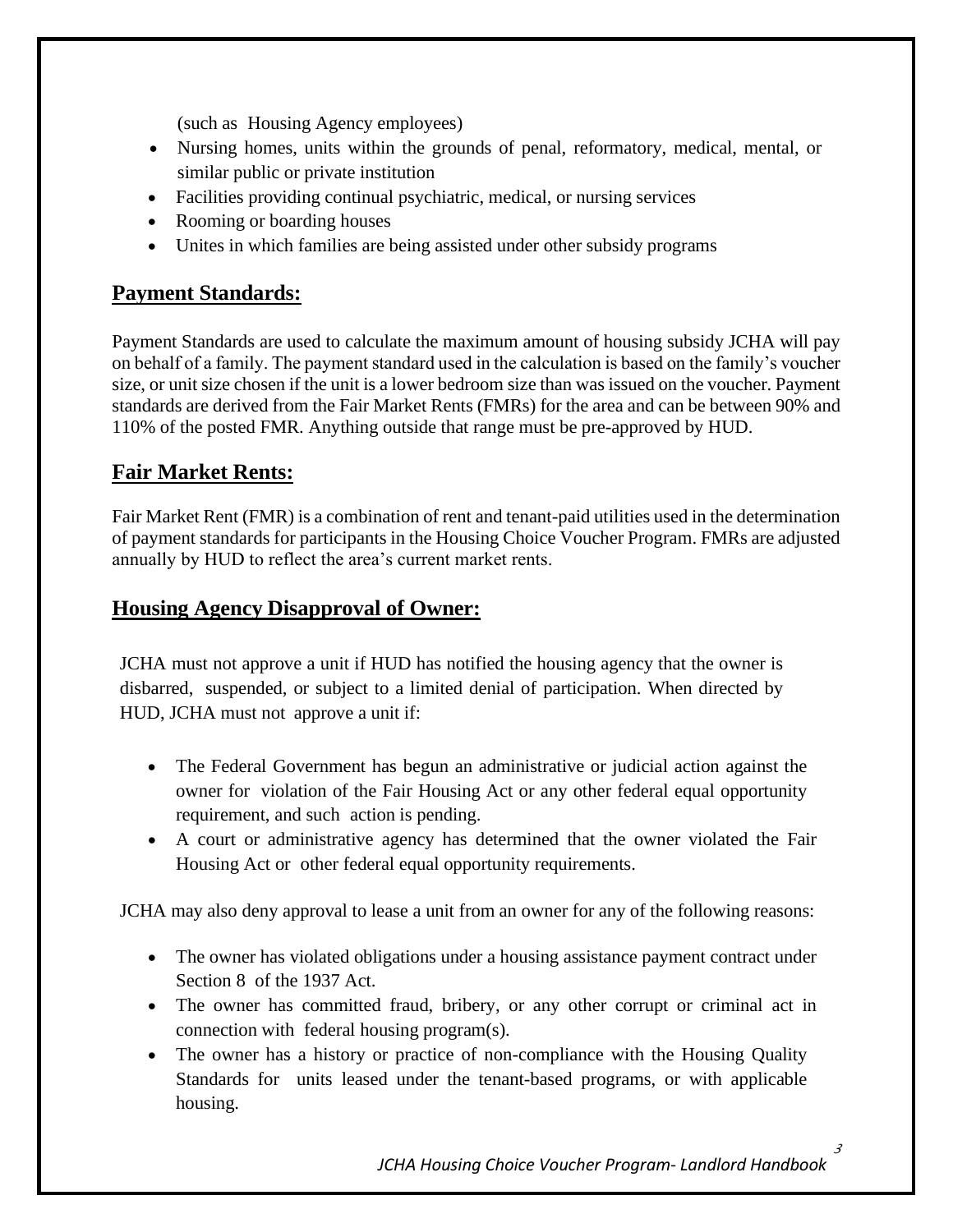(such as Housing Agency employees)

- Nursing homes, units within the grounds of penal, reformatory, medical, mental, or similar public or private institution
- Facilities providing continual psychiatric, medical, or nursing services
- Rooming or boarding houses
- Unites in which families are being assisted under other subsidy programs

#### **Payment Standards:**

Payment Standards are used to calculate the maximum amount of housing subsidy JCHA will pay on behalf of a family. The payment standard used in the calculation is based on the family's voucher size, or unit size chosen if the unit is a lower bedroom size than was issued on the voucher. Payment standards are derived from the Fair Market Rents (FMRs) for the area and can be between 90% and 110% of the posted FMR. Anything outside that range must be pre-approved by HUD.

## **Fair Market Rents:**

Fair Market Rent (FMR) is a combination of rent and tenant-paid utilities used in the determination of payment standards for participants in the Housing Choice Voucher Program. FMRs are adjusted annually by HUD to reflect the area's current market rents.

#### **Housing Agency Disapproval of Owner:**

JCHA must not approve a unit if HUD has notified the housing agency that the owner is disbarred, suspended, or subject to a limited denial of participation. When directed by HUD, JCHA must not approve a unit if:

- The Federal Government has begun an administrative or judicial action against the owner for violation of the Fair Housing Act or any other federal equal opportunity requirement, and such action is pending.
- A court or administrative agency has determined that the owner violated the Fair Housing Act or other federal equal opportunity requirements.

JCHA may also deny approval to lease a unit from an owner for any of the following reasons:

- The owner has violated obligations under a housing assistance payment contract under Section 8 of the 1937 Act.
- The owner has committed fraud, bribery, or any other corrupt or criminal act in connection with federal housing program(s).
- The owner has a history or practice of non-compliance with the Housing Quality Standards for units leased under the tenant-based programs, or with applicable housing.

*JCHA Housing Choice Voucher Program- Landlord Handbook*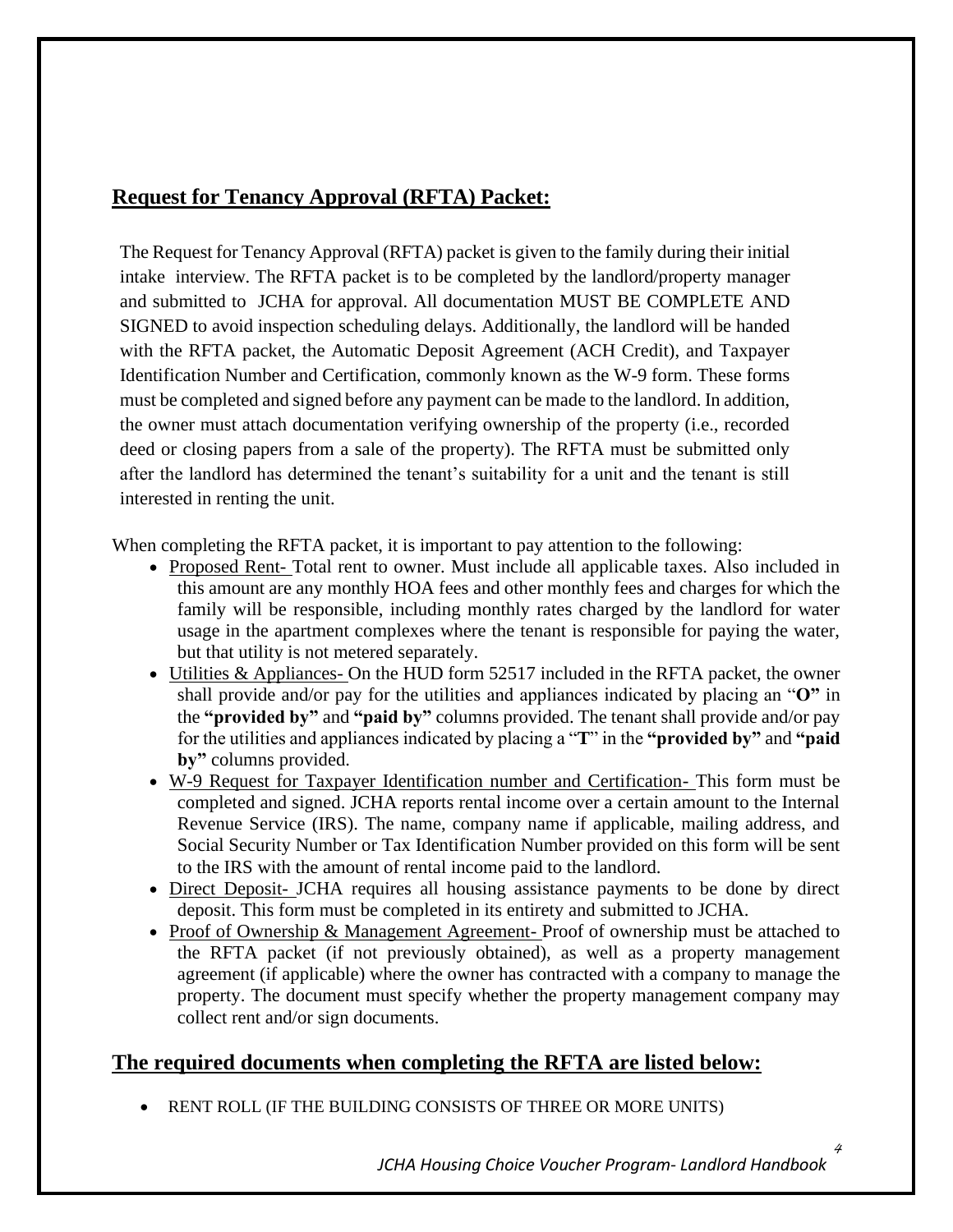# **Request for Tenancy Approval (RFTA) Packet:**

The Request for Tenancy Approval (RFTA) packet is given to the family during their initial intake interview. The RFTA packet is to be completed by the landlord/property manager and submitted to JCHA for approval. All documentation MUST BE COMPLETE AND SIGNED to avoid inspection scheduling delays. Additionally, the landlord will be handed with the RFTA packet, the Automatic Deposit Agreement (ACH Credit), and Taxpayer Identification Number and Certification, commonly known as the W-9 form. These forms must be completed and signed before any payment can be made to the landlord. In addition, the owner must attach documentation verifying ownership of the property (i.e., recorded deed or closing papers from a sale of the property). The RFTA must be submitted only after the landlord has determined the tenant's suitability for a unit and the tenant is still interested in renting the unit.

When completing the RFTA packet, it is important to pay attention to the following:

- Proposed Rent- Total rent to owner. Must include all applicable taxes. Also included in this amount are any monthly HOA fees and other monthly fees and charges for which the family will be responsible, including monthly rates charged by the landlord for water usage in the apartment complexes where the tenant is responsible for paying the water, but that utility is not metered separately.
- Utilities & Appliances- On the HUD form 52517 included in the RFTA packet, the owner shall provide and/or pay for the utilities and appliances indicated by placing an "**O"** in the **"provided by"** and **"paid by"** columns provided. The tenant shall provide and/or pay for the utilities and appliances indicated by placing a "**T**" in the **"provided by"** and **"paid by"** columns provided.
- W-9 Request for Taxpayer Identification number and Certification- This form must be completed and signed. JCHA reports rental income over a certain amount to the Internal Revenue Service (IRS). The name, company name if applicable, mailing address, and Social Security Number or Tax Identification Number provided on this form will be sent to the IRS with the amount of rental income paid to the landlord.
- Direct Deposit- JCHA requires all housing assistance payments to be done by direct deposit. This form must be completed in its entirety and submitted to JCHA.
- Proof of Ownership & Management Agreement- Proof of ownership must be attached to the RFTA packet (if not previously obtained), as well as a property management agreement (if applicable) where the owner has contracted with a company to manage the property. The document must specify whether the property management company may collect rent and/or sign documents.

#### **The required documents when completing the RFTA are listed below:**

• RENT ROLL (IF THE BUILDING CONSISTS OF THREE OR MORE UNITS)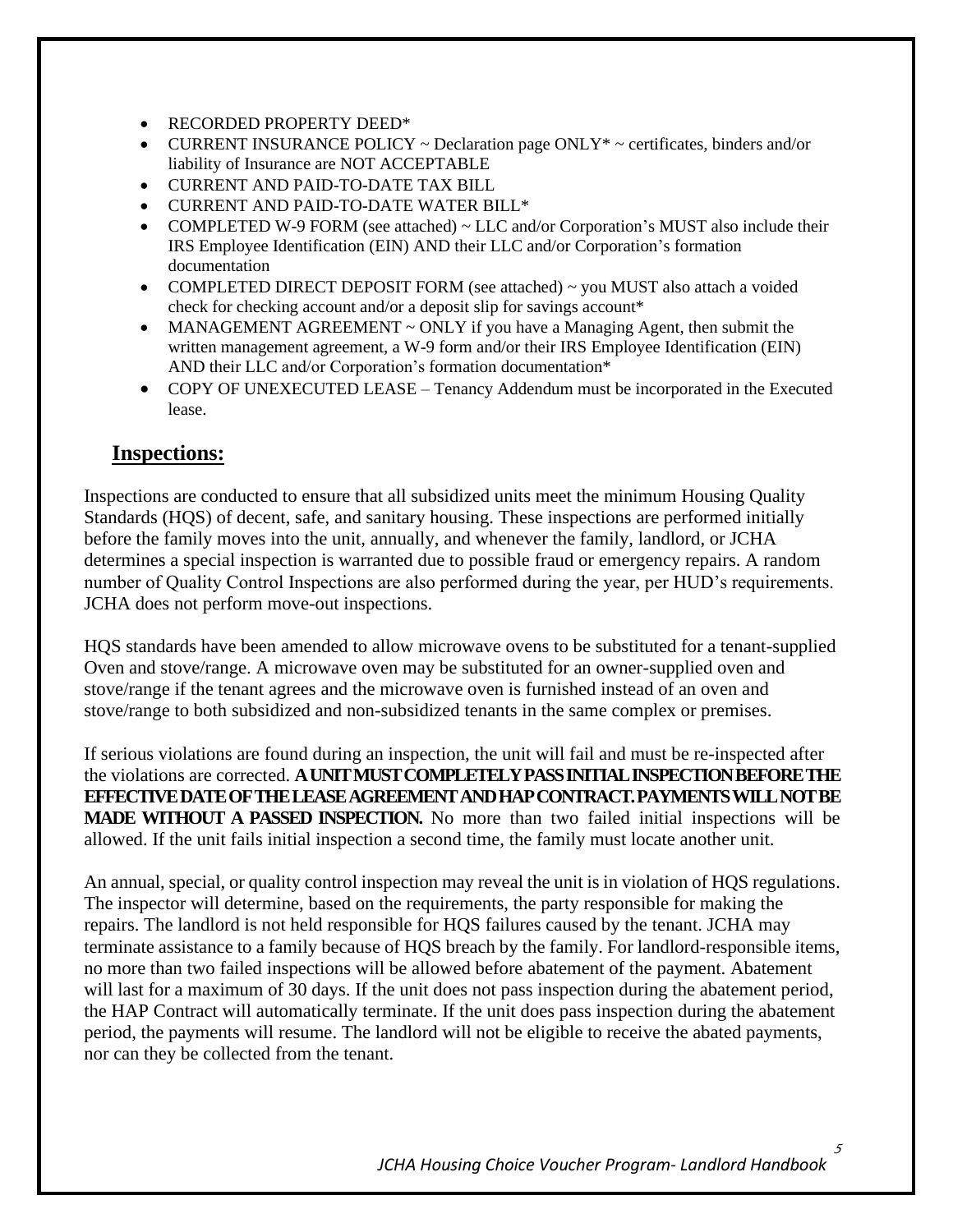- RECORDED PROPERTY DEED\*
- CURRENT INSURANCE POLICY  $\sim$  Declaration page ONLY\*  $\sim$  certificates, binders and/or liability of Insurance are NOT ACCEPTABLE
- CURRENT AND PAID-TO-DATE TAX BILL
- CURRENT AND PAID-TO-DATE WATER BILL\*
- COMPLETED W-9 FORM (see attached)  $\sim$  LLC and/or Corporation's MUST also include their IRS Employee Identification (EIN) AND their LLC and/or Corporation's formation documentation
- COMPLETED DIRECT DEPOSIT FORM (see attached) ~ you MUST also attach a voided check for checking account and/or a deposit slip for savings account\*
- MANAGEMENT AGREEMENT  $\sim$  ONLY if you have a Managing Agent, then submit the written management agreement, a W-9 form and/or their IRS Employee Identification (EIN) AND their LLC and/or Corporation's formation documentation\*
- COPY OF UNEXECUTED LEASE Tenancy Addendum must be incorporated in the Executed lease.

#### **Inspections:**

Inspections are conducted to ensure that all subsidized units meet the minimum Housing Quality Standards (HQS) of decent, safe, and sanitary housing. These inspections are performed initially before the family moves into the unit, annually, and whenever the family, landlord, or JCHA determines a special inspection is warranted due to possible fraud or emergency repairs. A random number of Quality Control Inspections are also performed during the year, per HUD's requirements. JCHA does not perform move-out inspections.

HQS standards have been amended to allow microwave ovens to be substituted for a tenant-supplied Oven and stove/range. A microwave oven may be substituted for an owner-supplied oven and stove/range if the tenant agrees and the microwave oven is furnished instead of an oven and stove/range to both subsidized and non-subsidized tenants in the same complex or premises.

If serious violations are found during an inspection, the unit will fail and must be re-inspected after the violations are corrected. **A UNIT MUST COMPLETELYPASS INITIAL INSPECTIONBEFORE THE EFFECTIVE DATE OF THE LEASE AGREEMENT AND HAP CONTRACT. PAYMENTS WILL NOT BE MADE WITHOUT A PASSED INSPECTION.** No more than two failed initial inspections will be allowed. If the unit fails initial inspection a second time, the family must locate another unit.

An annual, special, or quality control inspection may reveal the unit is in violation of HQS regulations. The inspector will determine, based on the requirements, the party responsible for making the repairs. The landlord is not held responsible for HQS failures caused by the tenant. JCHA may terminate assistance to a family because of HQS breach by the family. For landlord-responsible items, no more than two failed inspections will be allowed before abatement of the payment. Abatement will last for a maximum of 30 days. If the unit does not pass inspection during the abatement period, the HAP Contract will automatically terminate. If the unit does pass inspection during the abatement period, the payments will resume. The landlord will not be eligible to receive the abated payments, nor can they be collected from the tenant.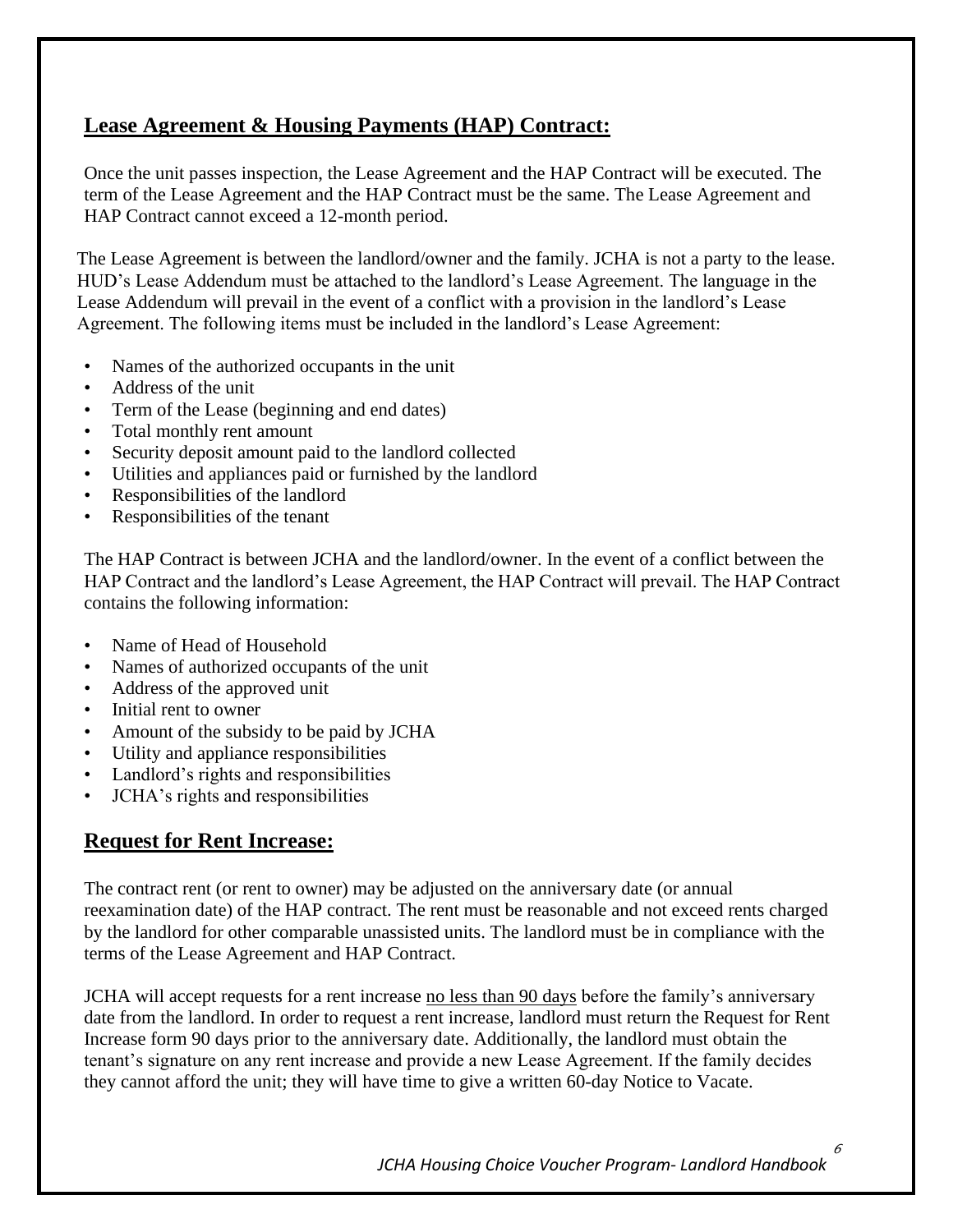# **Lease Agreement & Housing Payments (HAP) Contract:**

Once the unit passes inspection, the Lease Agreement and the HAP Contract will be executed. The term of the Lease Agreement and the HAP Contract must be the same. The Lease Agreement and HAP Contract cannot exceed a 12-month period.

The Lease Agreement is between the landlord/owner and the family. JCHA is not a party to the lease. HUD's Lease Addendum must be attached to the landlord's Lease Agreement. The language in the Lease Addendum will prevail in the event of a conflict with a provision in the landlord's Lease Agreement. The following items must be included in the landlord's Lease Agreement:

- Names of the authorized occupants in the unit
- Address of the unit
- Term of the Lease (beginning and end dates)
- Total monthly rent amount
- Security deposit amount paid to the landlord collected
- Utilities and appliances paid or furnished by the landlord
- Responsibilities of the landlord
- Responsibilities of the tenant

The HAP Contract is between JCHA and the landlord/owner. In the event of a conflict between the HAP Contract and the landlord's Lease Agreement, the HAP Contract will prevail. The HAP Contract contains the following information:

- Name of Head of Household
- Names of authorized occupants of the unit
- Address of the approved unit
- Initial rent to owner
- Amount of the subsidy to be paid by JCHA
- Utility and appliance responsibilities
- Landlord's rights and responsibilities
- JCHA's rights and responsibilities

# **Request for Rent Increase:**

The contract rent (or rent to owner) may be adjusted on the anniversary date (or annual reexamination date) of the HAP contract. The rent must be reasonable and not exceed rents charged by the landlord for other comparable unassisted units. The landlord must be in compliance with the terms of the Lease Agreement and HAP Contract.

JCHA will accept requests for a rent increase no less than 90 days before the family's anniversary date from the landlord. In order to request a rent increase, landlord must return the Request for Rent Increase form 90 days prior to the anniversary date. Additionally, the landlord must obtain the tenant's signature on any rent increase and provide a new Lease Agreement. If the family decides they cannot afford the unit; they will have time to give a written 60-day Notice to Vacate.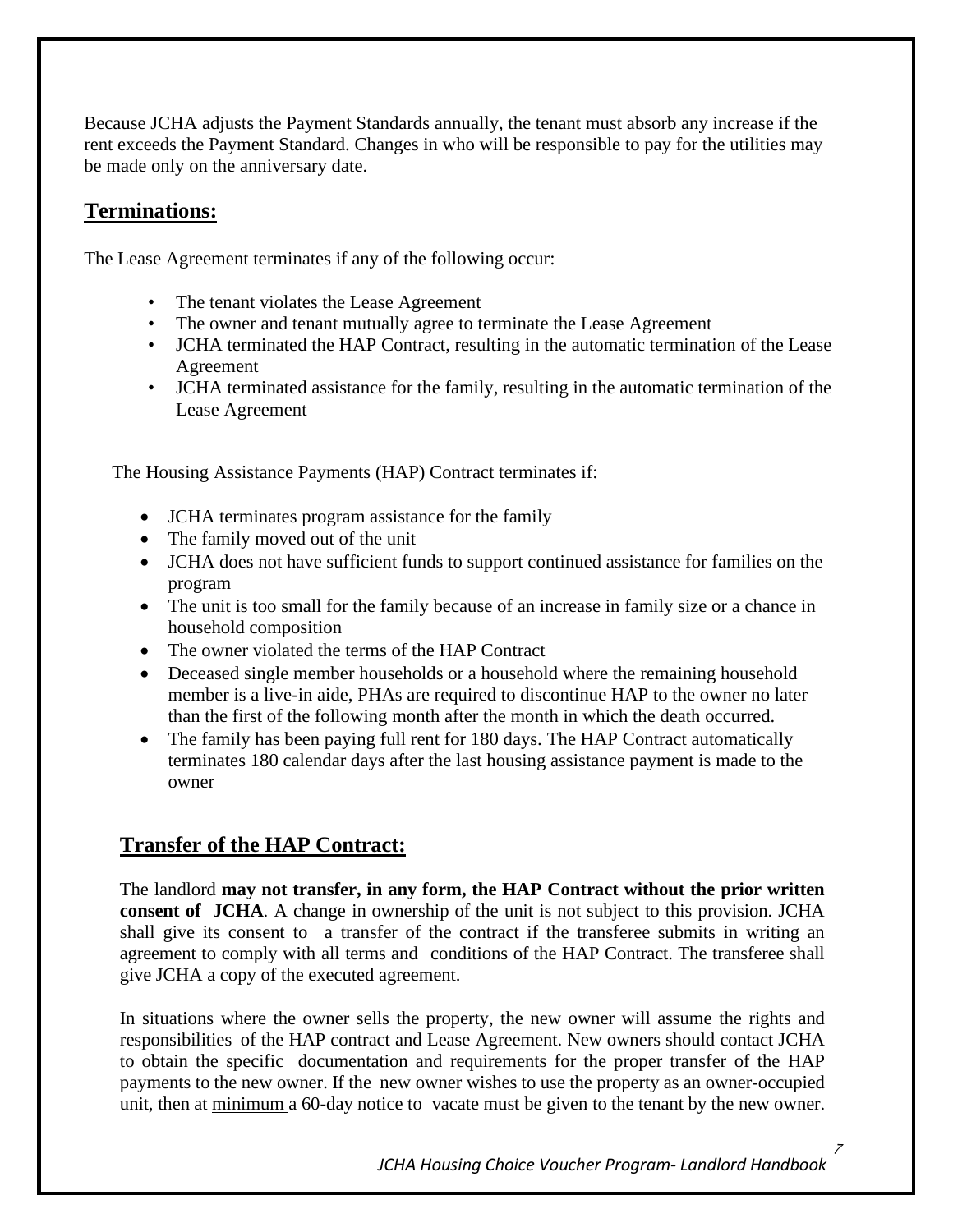Because JCHA adjusts the Payment Standards annually, the tenant must absorb any increase if the rent exceeds the Payment Standard. Changes in who will be responsible to pay for the utilities may be made only on the anniversary date.

#### **Terminations:**

The Lease Agreement terminates if any of the following occur:

- The tenant violates the Lease Agreement
- The owner and tenant mutually agree to terminate the Lease Agreement
- JCHA terminated the HAP Contract, resulting in the automatic termination of the Lease Agreement
- JCHA terminated assistance for the family, resulting in the automatic termination of the Lease Agreement

The Housing Assistance Payments (HAP) Contract terminates if:

- **JCHA** terminates program assistance for the family
- The family moved out of the unit
- JCHA does not have sufficient funds to support continued assistance for families on the program
- The unit is too small for the family because of an increase in family size or a chance in household composition
- The owner violated the terms of the HAP Contract
- Deceased single member households or a household where the remaining household member is a live-in aide, PHAs are required to discontinue HAP to the owner no later than the first of the following month after the month in which the death occurred.
- The family has been paying full rent for 180 days. The HAP Contract automatically terminates 180 calendar days after the last housing assistance payment is made to the owner

#### **Transfer of the HAP Contract:**

The landlord **may not transfer, in any form, the HAP Contract without the prior written consent of JCHA**. A change in ownership of the unit is not subject to this provision. JCHA shall give its consent to a transfer of the contract if the transferee submits in writing an agreement to comply with all terms and conditions of the HAP Contract. The transferee shall give JCHA a copy of the executed agreement.

In situations where the owner sells the property, the new owner will assume the rights and responsibilities of the HAP contract and Lease Agreement. New owners should contact JCHA to obtain the specific documentation and requirements for the proper transfer of the HAP payments to the new owner. If the new owner wishes to use the property as an owner-occupied unit, then at minimum a 60-day notice to vacate must be given to the tenant by the new owner.

*JCHA Housing Choice Voucher Program- Landlord Handbook*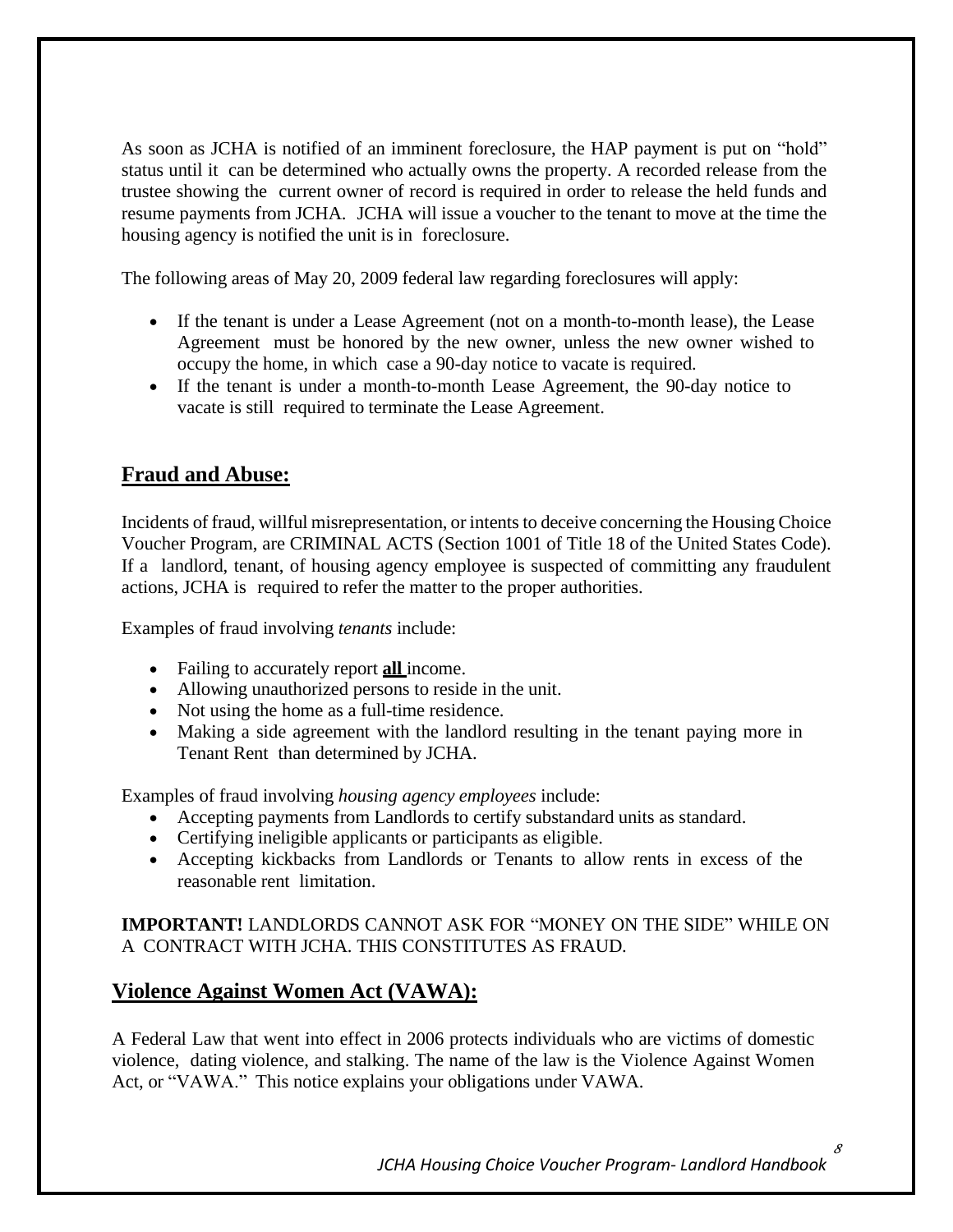As soon as JCHA is notified of an imminent foreclosure, the HAP payment is put on "hold" status until it can be determined who actually owns the property. A recorded release from the trustee showing the current owner of record is required in order to release the held funds and resume payments from JCHA. JCHA will issue a voucher to the tenant to move at the time the housing agency is notified the unit is in foreclosure.

The following areas of May 20, 2009 federal law regarding foreclosures will apply:

- If the tenant is under a Lease Agreement (not on a month-to-month lease), the Lease Agreement must be honored by the new owner, unless the new owner wished to occupy the home, in which case a 90-day notice to vacate is required.
- If the tenant is under a month-to-month Lease Agreement, the 90-day notice to vacate is still required to terminate the Lease Agreement.

## **Fraud and Abuse:**

Incidents of fraud, willful misrepresentation, or intents to deceive concerning the Housing Choice Voucher Program, are CRIMINAL ACTS (Section 1001 of Title 18 of the United States Code). If a landlord, tenant, of housing agency employee is suspected of committing any fraudulent actions, JCHA is required to refer the matter to the proper authorities.

Examples of fraud involving *tenants* include:

- Failing to accurately report **all** income.
- Allowing unauthorized persons to reside in the unit.
- Not using the home as a full-time residence.
- Making a side agreement with the landlord resulting in the tenant paying more in Tenant Rent than determined by JCHA.

Examples of fraud involving *housing agency employees* include:

- Accepting payments from Landlords to certify substandard units as standard.
- Certifying ineligible applicants or participants as eligible.
- Accepting kickbacks from Landlords or Tenants to allow rents in excess of the reasonable rent limitation.

#### **IMPORTANT!** LANDLORDS CANNOT ASK FOR "MONEY ON THE SIDE" WHILE ON A CONTRACT WITH JCHA. THIS CONSTITUTES AS FRAUD.

#### **Violence Against Women Act (VAWA):**

A Federal Law that went into effect in 2006 protects individuals who are victims of domestic violence, dating violence, and stalking. The name of the law is the Violence Against Women Act, or "VAWA." This notice explains your obligations under VAWA.

*JCHA Housing Choice Voucher Program- Landlord Handbook*